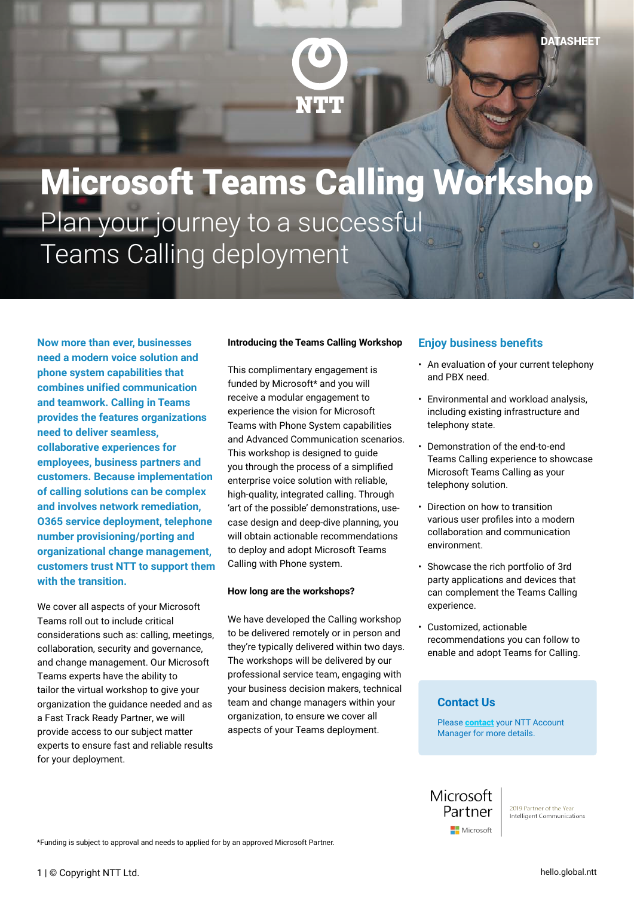

NTT

**Now more than ever, businesses need a modern voice solution and phone system capabilities that combines unified communication and teamwork. Calling in Teams provides the features organizations need to deliver seamless, collaborative experiences for employees, business partners and customers. Because implementation of calling solutions can be complex and involves network remediation, O365 service deployment, telephone number provisioning/porting and organizational change management, customers trust NTT to support them with the transition.**

We cover all aspects of your Microsoft Teams roll out to include critical considerations such as: calling, meetings, collaboration, security and governance, and change management. Our Microsoft Teams experts have the ability to tailor the virtual workshop to give your organization the guidance needed and as a Fast Track Ready Partner, we will provide access to our subject matter experts to ensure fast and reliable results for your deployment.

### **Introducing the Teams Calling Workshop**

This complimentary engagement is funded by Microsoft\* and you will receive a modular engagement to experience the vision for Microsoft Teams with Phone System capabilities and Advanced Communication scenarios. This workshop is designed to guide you through the process of a simplified enterprise voice solution with reliable, high-quality, integrated calling. Through 'art of the possible' demonstrations, usecase design and deep-dive planning, you will obtain actionable recommendations to deploy and adopt Microsoft Teams Calling with Phone system.

#### **How long are the workshops?**

We have developed the Calling workshop to be delivered remotely or in person and they're typically delivered within two days. The workshops will be delivered by our professional service team, engaging with your business decision makers, technical team and change managers within your organization, to ensure we cover all aspects of your Teams deployment.

## **Enjoy business benefits**

- An evaluation of your current telephony and PBX need.
- Environmental and workload analysis, including existing infrastructure and telephony state.
- Demonstration of the end-to-end Teams Calling experience to showcase Microsoft Teams Calling as your telephony solution.
- Direction on how to transition various user profiles into a modern collaboration and communication environment.
- Showcase the rich portfolio of 3rd party applications and devices that can complement the Teams Calling experience.
- Customized, actionable recommendations you can follow to enable and adopt Teams for Calling.

### **Contact Us**

Please **[contact](https://hello.global.ntt/en-us/landing-page/accelerate-collaboration-and-communication-with-microsoft#form)** your NTT Account Manager for more details.

Microsoft Partner Microsoft

\*Funding is subject to approval and needs to applied for by an approved Microsoft Partner.